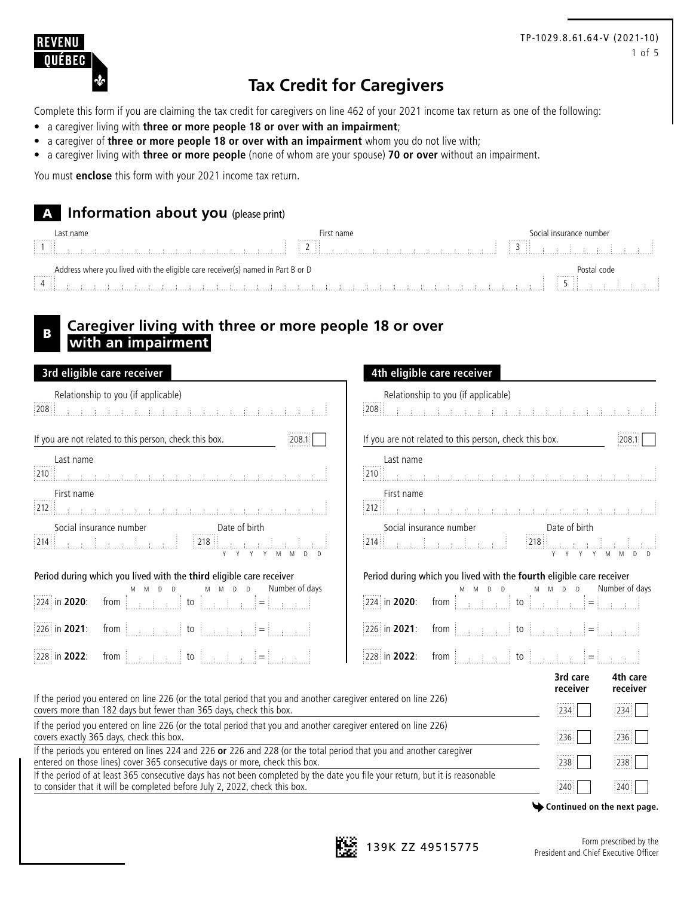

## **Tax Credit for Caregivers**

Complete this form if you are claiming the tax credit for caregivers on line 462 of your 2021 income tax return as one of the following:

- a caregiver living with **three or more people 18 or over with an impairment**;
- a caregiver of **three or more people 18 or over with an impairment** whom you do not live with;
- a caregiver living with **three or more people** (none of whom are your spouse) **70 or over** without an impairment.

You must **enclose** this form with your 2021 income tax return.

### A **Information about you** (please print)

|   | Last name                                                                       | -irst name |  | Socia | al insurance number |  |
|---|---------------------------------------------------------------------------------|------------|--|-------|---------------------|--|
| . | -11                                                                             | .          |  | .     |                     |  |
| . | Address where you lived with the eligible care receiver(s) named in Part B or D |            |  |       | $\cdots$<br>$-1.1$  |  |

## **Caregiver living with three or more people 18 or over with an impairment**

| 3rd eligible care receiver                                                                                                                                                                                          | 4th eligible care receiver                                                                                                                                                                                                                                                                                                                                                                                                                                     |
|---------------------------------------------------------------------------------------------------------------------------------------------------------------------------------------------------------------------|----------------------------------------------------------------------------------------------------------------------------------------------------------------------------------------------------------------------------------------------------------------------------------------------------------------------------------------------------------------------------------------------------------------------------------------------------------------|
| Relationship to you (if applicable)                                                                                                                                                                                 | Relationship to you (if applicable)                                                                                                                                                                                                                                                                                                                                                                                                                            |
| 208                                                                                                                                                                                                                 | 208                                                                                                                                                                                                                                                                                                                                                                                                                                                            |
| <u> 1991 - John Louis, fisikal medicinal medicinal medicinal me</u>                                                                                                                                                 | <u> Kabupatèn Bandaran Bandar Bandar Bandar Bandar Ba</u>                                                                                                                                                                                                                                                                                                                                                                                                      |
| If you are not related to this person, check this box.                                                                                                                                                              | If you are not related to this person, check this box.                                                                                                                                                                                                                                                                                                                                                                                                         |
| 208.1                                                                                                                                                                                                               | 208.1                                                                                                                                                                                                                                                                                                                                                                                                                                                          |
| Last name                                                                                                                                                                                                           | Last name                                                                                                                                                                                                                                                                                                                                                                                                                                                      |
|                                                                                                                                                                                                                     |                                                                                                                                                                                                                                                                                                                                                                                                                                                                |
| First name                                                                                                                                                                                                          | First name                                                                                                                                                                                                                                                                                                                                                                                                                                                     |
|                                                                                                                                                                                                                     |                                                                                                                                                                                                                                                                                                                                                                                                                                                                |
|                                                                                                                                                                                                                     | Social insurance number<br>Date of birth<br>$[218] \begin{array}{ c c c c c c c } \hline \multicolumn{1}{ c }{218} & \multicolumn{1}{ c }{1} & \multicolumn{1}{ c }{1} & \multicolumn{1}{ c }{1} & \multicolumn{1}{ c }{1} & \multicolumn{1}{ c }{1} & \multicolumn{1}{ c }{1} & \multicolumn{1}{ c }{1} & \multicolumn{1}{ c }{1} & \multicolumn{1}{ c }{1} & \multicolumn{1}{ c }{1} & \multicolumn{1}{ c }{1} & \multicolumn{1}{ c }{1} & \multicolumn{1}{$ |
| Period during which you lived with the third eligible care receiver                                                                                                                                                 | Period during which you lived with the fourth eligible care receiver                                                                                                                                                                                                                                                                                                                                                                                           |
| Number of days                                                                                                                                                                                                      | Number of days                                                                                                                                                                                                                                                                                                                                                                                                                                                 |
| $M$ $M$ $D$ $D$                                                                                                                                                                                                     | $D$ $D$                                                                                                                                                                                                                                                                                                                                                                                                                                                        |
| from $\begin{bmatrix} 1 & 1 & 1 \\ 1 & 1 & 1 \\ 1 & 1 & 1 \end{bmatrix}$ to $\begin{bmatrix} 1 & 1 & 1 \\ 1 & 1 & 1 \\ 1 & 1 & 1 \end{bmatrix} = \begin{bmatrix} 1 & 1 & 1 \\ 1 & 1 & 1 \\ 1 & 1 & 1 \end{bmatrix}$ | $224$ in 2020:                                                                                                                                                                                                                                                                                                                                                                                                                                                 |
| 224 in 2020:                                                                                                                                                                                                        | from $\begin{bmatrix} 1 & 1 & 1 \\ 1 & 1 & 1 \\ 1 & 1 & 1 \end{bmatrix}$ to $\begin{bmatrix} 1 & 1 & 1 \\ 1 & 1 & 1 \\ 1 & 1 & 1 \end{bmatrix} = \begin{bmatrix} 1 & 1 & 1 \\ 1 & 1 & 1 \\ 1 & 1 & 1 \end{bmatrix}$                                                                                                                                                                                                                                            |
|                                                                                                                                                                                                                     |                                                                                                                                                                                                                                                                                                                                                                                                                                                                |
| 226 in 2021:                                                                                                                                                                                                        | 226 in 2021:                                                                                                                                                                                                                                                                                                                                                                                                                                                   |
| from $\begin{bmatrix} 1 & 1 & 1 \\ 1 & 1 & 1 \end{bmatrix}$ to $\begin{bmatrix} 1 & 1 & 1 \\ 1 & 1 & 1 \end{bmatrix}$ $\begin{bmatrix} 1 & 1 & 1 \\ 1 & 1 & 1 \end{bmatrix}$                                        | from $\begin{bmatrix} 1 & 1 & 1 \\ 1 & 1 & 1 \end{bmatrix}$ to $\begin{bmatrix} 1 & 1 & 1 \\ 1 & 1 & 1 \end{bmatrix}$ $= \begin{bmatrix} 1 & 1 & 1 \\ 1 & 1 & 1 \end{bmatrix}$                                                                                                                                                                                                                                                                                 |
| 228 in 2022:                                                                                                                                                                                                        | 228 in 2022:                                                                                                                                                                                                                                                                                                                                                                                                                                                   |
|                                                                                                                                                                                                                     | 3rd care<br>4th care<br>receiver<br>receiver                                                                                                                                                                                                                                                                                                                                                                                                                   |
| If the period you entered on line 226 (or the total period that you and another caregiver entered on line 226)                                                                                                      | 234                                                                                                                                                                                                                                                                                                                                                                                                                                                            |
| covers more than 182 days but fewer than 365 days, check this box.                                                                                                                                                  | 234                                                                                                                                                                                                                                                                                                                                                                                                                                                            |
| If the period you entered on line 226 (or the total period that you and another caregiver entered on line 226)                                                                                                      | 236                                                                                                                                                                                                                                                                                                                                                                                                                                                            |
| covers exactly 365 days, check this box.                                                                                                                                                                            | 236                                                                                                                                                                                                                                                                                                                                                                                                                                                            |
| If the periods you entered on lines 224 and 226 or 226 and 228 (or the total period that you and another caregiver                                                                                                  | 238                                                                                                                                                                                                                                                                                                                                                                                                                                                            |
| entered on those lines) cover 365 consecutive days or more, check this box.                                                                                                                                         | 238                                                                                                                                                                                                                                                                                                                                                                                                                                                            |
| If the period of at least 365 consecutive days has not been completed by the date you file your return, but it is reasonable                                                                                        | :240                                                                                                                                                                                                                                                                                                                                                                                                                                                           |
| to consider that it will be completed before July 2, 2022, check this box.                                                                                                                                          | :240                                                                                                                                                                                                                                                                                                                                                                                                                                                           |

**Continued on the next page.**

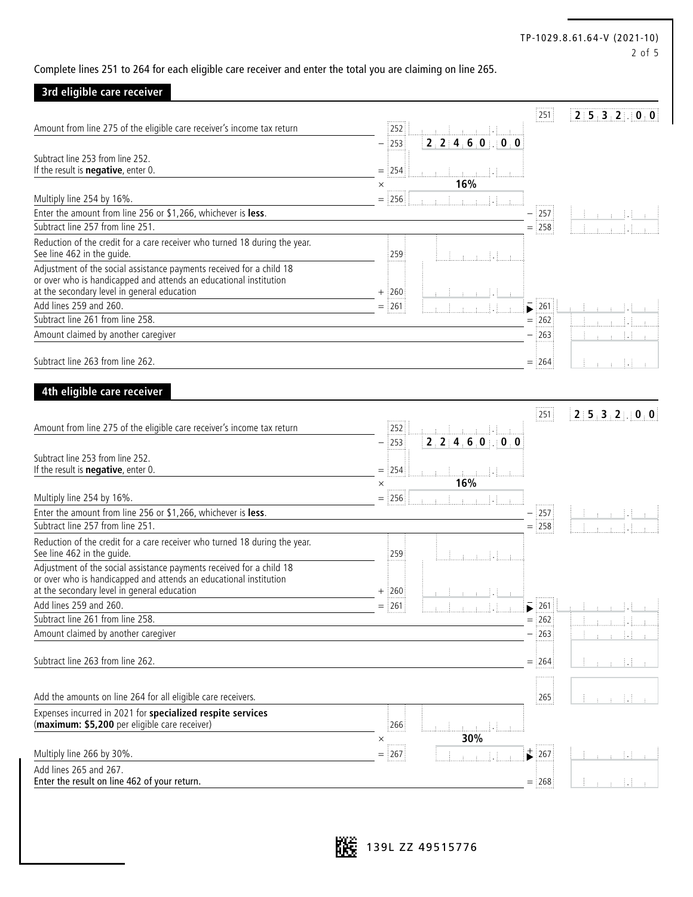#### TP-1029.8.61.64-V (2021-10) 2 of 5

Complete lines 251 to 264 for each eligible care receiver and enter the total you are claiming on line 265.

### **3rd eligible care receiver**

|                                                                                                                  |                             | 251                                               | 215.3210.0       |
|------------------------------------------------------------------------------------------------------------------|-----------------------------|---------------------------------------------------|------------------|
| Amount from line 275 of the eligible care receiver's income tax return                                           | 252<br>an H                 |                                                   |                  |
|                                                                                                                  | 2, 2, 4, 6, 0, 0, 0<br> 253 |                                                   |                  |
| Subtract line 253 from line 252.<br>If the result is <b>negative</b> , enter 0.                                  |                             |                                                   |                  |
|                                                                                                                  | $=$ 254<br>16%<br>$\times$  |                                                   |                  |
| Multiply line 254 by 16%.                                                                                        | 256<br>$=$                  |                                                   |                  |
| Enter the amount from line 256 or \$1,266, whichever is less.                                                    |                             | $\frac{1}{2}$ 257                                 |                  |
| Subtract line 257 from line 251.                                                                                 |                             | $=$ 258                                           |                  |
| Reduction of the credit for a care receiver who turned 18 during the year.<br>See line 462 in the guide.         | 259                         |                                                   |                  |
| Adjustment of the social assistance payments received for a child 18                                             |                             |                                                   |                  |
| or over who is handicapped and attends an educational institution<br>at the secondary level in general education | $+$ :260                    |                                                   |                  |
| Add lines 259 and 260.                                                                                           | $=$ 261                     | 261                                               |                  |
| Subtract line 261 from line 258.                                                                                 |                             | $=$ 262                                           |                  |
| Amount claimed by another caregiver                                                                              |                             | $-$ 263                                           |                  |
|                                                                                                                  |                             |                                                   |                  |
| Subtract line 263 from line 262.                                                                                 |                             | $=$ 264                                           |                  |
|                                                                                                                  |                             |                                                   |                  |
| 4th eligible care receiver                                                                                       |                             |                                                   |                  |
|                                                                                                                  |                             | 251                                               | 2:5:3:2:10:0     |
| Amount from line 275 of the eligible care receiver's income tax return                                           | 252                         |                                                   |                  |
|                                                                                                                  | 2, 2, 4, 6, 0, 0, 0<br> 253 |                                                   |                  |
| Subtract line 253 from line 252.<br>If the result is <b>negative</b> , enter 0.                                  | $=$ :254                    |                                                   |                  |
|                                                                                                                  | 16%<br>$\times$             |                                                   |                  |
| Multiply line 254 by 16%.                                                                                        | $=$ 256                     |                                                   |                  |
| Enter the amount from line 256 or \$1,266, whichever is less.                                                    |                             | $\frac{1}{2}$ 257                                 |                  |
| Subtract line 257 from line 251.                                                                                 |                             | $=$ 258                                           |                  |
| Reduction of the credit for a care receiver who turned 18 during the year.<br>See line 462 in the guide.         | 259                         |                                                   |                  |
| Adjustment of the social assistance payments received for a child 18                                             |                             |                                                   |                  |
| or over who is handicapped and attends an educational institution<br>at the secondary level in general education | $+$ 260                     |                                                   |                  |
| Add lines 259 and 260.                                                                                           | 261                         | $\overline{\phantom{1}}$ 261                      |                  |
| Subtract line 261 from line 258.                                                                                 |                             | $=$ 262                                           |                  |
| Amount claimed by another caregiver                                                                              |                             | $- 263 $                                          |                  |
|                                                                                                                  |                             |                                                   |                  |
| Subtract line 263 from line 262.                                                                                 |                             | $=$ 264                                           |                  |
|                                                                                                                  |                             |                                                   |                  |
| Add the amounts on line 264 for all eligible care receivers.                                                     |                             | 265                                               | - 14<br>÷<br>di. |
| Expenses incurred in 2021 for specialized respite services<br>(maximum: \$5,200 per eligible care receiver)      | 266                         |                                                   |                  |
|                                                                                                                  | 30%<br>$\times$<br>.        |                                                   |                  |
| Multiply line 266 by 30%.                                                                                        | $=$ :267                    | $\overrightarrow{\phantom{a}}$<br>$\frac{1}{267}$ |                  |
| Add lines 265 and 267.<br>Enter the result on line 462 of your return.                                           |                             | $=$ 268                                           |                  |
|                                                                                                                  |                             |                                                   |                  |

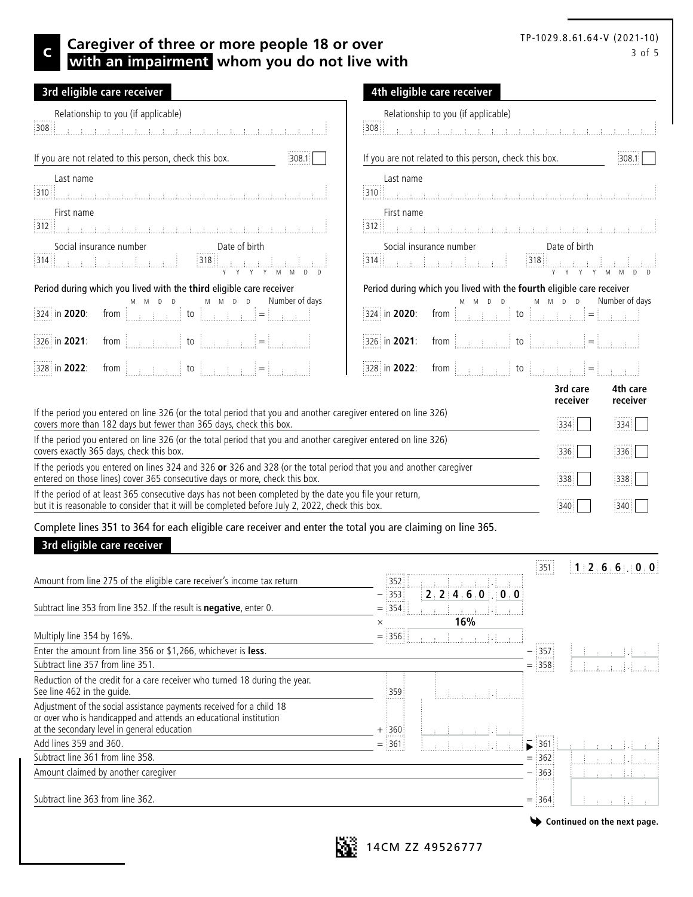# TP-1029.8.61.64-V (2021-10)

### C 3 of 5 **Caregiver of three or more people 18 or over CAREGIVER 1979.8.8.81.84-V (2021-10) with an impairment whom you do not live with**

| 3rd eligible care receiver                                                                                                                                                                                                     | 4th eligible care receiver                                                                                                                                                     |
|--------------------------------------------------------------------------------------------------------------------------------------------------------------------------------------------------------------------------------|--------------------------------------------------------------------------------------------------------------------------------------------------------------------------------|
| Relationship to you (if applicable)                                                                                                                                                                                            | Relationship to you (if applicable)                                                                                                                                            |
| 308 <sub>1</sub>                                                                                                                                                                                                               | :308                                                                                                                                                                           |
| di na matangan ng managang managang managang managang managang managang managang managang managang managang managang managang managang managang managang managang managang managang managang managang managang managang managa |                                                                                                                                                                                |
| If you are not related to this person, check this box.                                                                                                                                                                         | If you are not related to this person, check this box.                                                                                                                         |
| 308.1                                                                                                                                                                                                                          | 308.1                                                                                                                                                                          |
| Last name                                                                                                                                                                                                                      | Last name                                                                                                                                                                      |
| <u> 310   Angles I and Angles I and Angles I and Angles I and Angles I and Angles I and Angles I and Angles I an</u>                                                                                                           |                                                                                                                                                                                |
| First name                                                                                                                                                                                                                     | First name                                                                                                                                                                     |
|                                                                                                                                                                                                                                |                                                                                                                                                                                |
| Social insurance number                                                                                                                                                                                                        | Social insurance number                                                                                                                                                        |
| Date of birth                                                                                                                                                                                                                  | Date of birth                                                                                                                                                                  |
|                                                                                                                                                                                                                                |                                                                                                                                                                                |
| $[318] \begin{tabular}{ c c c c c c } \hline 318 & . & . & . & . & . & . & . & . & . \\ \hline \end{tabular}$                                                                                                                  |                                                                                                                                                                                |
| Period during which you lived with the third eligible care receiver                                                                                                                                                            | Period during which you lived with the fourth eligible care receiver                                                                                                           |
| $M$ $M$ $D$ $D$                                                                                                                                                                                                                | $M$ $M$ $D$ $D$                                                                                                                                                                |
| Number of days                                                                                                                                                                                                                 | Number of days                                                                                                                                                                 |
| M M D D                                                                                                                                                                                                                        | $D$ $D$                                                                                                                                                                        |
|                                                                                                                                                                                                                                |                                                                                                                                                                                |
| 324 in 2020:                                                                                                                                                                                                                   | 324 in 2020:                                                                                                                                                                   |
| from $\begin{bmatrix} 1 & 1 & 1 \\ 1 & 1 & 1 \end{bmatrix}$ to $\begin{bmatrix} 1 & 1 & 1 \\ 1 & 1 & 1 \end{bmatrix}$ = $\begin{bmatrix} 1 & 1 & 1 \\ 1 & 1 & 1 \end{bmatrix}$                                                 | from $\begin{bmatrix} 1 & 1 & 1 \\ 1 & 1 & 1 \end{bmatrix}$ to $\begin{bmatrix} 1 & 1 & 1 \\ 1 & 1 & 1 \end{bmatrix}$ = $\begin{bmatrix} 1 & 1 & 1 \\ 1 & 1 & 1 \end{bmatrix}$ |
| 326 in 2021:                                                                                                                                                                                                                   | 326 in 2021:                                                                                                                                                                   |
| from $\begin{bmatrix} 1 & 1 & 1 \\ 1 & 1 & 1 \end{bmatrix}$ to $\begin{bmatrix} 1 & 1 & 1 \\ 1 & 1 & 1 \end{bmatrix}$ = $\begin{bmatrix} 1 & 1 & 1 \\ 1 & 1 & 1 \end{bmatrix}$                                                 | from $\begin{bmatrix} 1 & 1 & 1 \\ 1 & 1 & 1 \end{bmatrix}$ to $\begin{bmatrix} 1 & 1 & 1 \\ 1 & 1 & 1 \end{bmatrix}$ = $\begin{bmatrix} 1 & 1 & 1 \\ 1 & 1 & 1 \end{bmatrix}$ |
| 328 in 2022:                                                                                                                                                                                                                   | 328 in 2022:                                                                                                                                                                   |
|                                                                                                                                                                                                                                | 3rd care<br>4th care<br>receiver<br>receiver                                                                                                                                   |
| If the period you entered on line 326 (or the total period that you and another caregiver entered on line 326)                                                                                                                 | 334                                                                                                                                                                            |
| covers more than 182 days but fewer than 365 days, check this box.                                                                                                                                                             | 334                                                                                                                                                                            |
| If the period you entered on line 326 (or the total period that you and another caregiver entered on line 326)                                                                                                                 | 336                                                                                                                                                                            |
| covers exactly 365 days, check this box.                                                                                                                                                                                       | 336                                                                                                                                                                            |
| If the periods you entered on lines 324 and 326 or 326 and 328 (or the total period that you and another caregiver                                                                                                             | 338                                                                                                                                                                            |
| entered on those lines) cover 365 consecutive days or more, check this box.                                                                                                                                                    | 338                                                                                                                                                                            |
| If the period of at least 365 consecutive days has not been completed by the date you file your return,                                                                                                                        | 340                                                                                                                                                                            |
| but it is reasonable to consider that it will be completed before July 2, 2022, check this box.                                                                                                                                | 340                                                                                                                                                                            |

Complete lines 351 to 364 for each eligible care receiver and enter the total you are claiming on line 365.

### **3rd eligible care receiver**

|                                                                                                                                                                                          |                         |                     | 351                          | 1:2:6:6:0:0                                       |
|------------------------------------------------------------------------------------------------------------------------------------------------------------------------------------------|-------------------------|---------------------|------------------------------|---------------------------------------------------|
| Amount from line 275 of the eligible care receiver's income tax return                                                                                                                   | :352:                   |                     |                              |                                                   |
|                                                                                                                                                                                          | 353:                    | 2, 2, 4, 6, 0, 0, 0 |                              |                                                   |
| Subtract line 353 from line 352. If the result is <b>negative</b> , enter 0.                                                                                                             | $=$ :354:               |                     |                              |                                                   |
|                                                                                                                                                                                          | X                       | 16%                 |                              |                                                   |
| Multiply line 354 by 16%.                                                                                                                                                                | $=$ 356                 | Fred Har            |                              |                                                   |
| Enter the amount from line 356 or \$1,266, whichever is less.                                                                                                                            |                         |                     | 357                          |                                                   |
| Subtract line 357 from line 351.                                                                                                                                                         |                         |                     | 358                          |                                                   |
| Reduction of the credit for a care receiver who turned 18 during the year.<br>See line 462 in the quide.                                                                                 | 359                     | nding and did not   |                              |                                                   |
| Adjustment of the social assistance payments received for a child 18<br>or over who is handicapped and attends an educational institution<br>at the secondary level in general education | $+$ :360:               |                     |                              |                                                   |
| Add lines 359 and 360.                                                                                                                                                                   | $\frac{1}{2}361$<br>$=$ |                     | $\overline{\phantom{0}}$ 361 |                                                   |
| Subtract line 361 from line 358.                                                                                                                                                         |                         |                     | $=$ :362:                    |                                                   |
| Amount claimed by another caregiver                                                                                                                                                      |                         |                     | 363                          | na an Eil                                         |
| Subtract line 363 from line 362.                                                                                                                                                         |                         |                     | $=$ 364                      | - 14                                              |
|                                                                                                                                                                                          |                         |                     |                              | $\blacktriangleright$ Continued on the next page. |

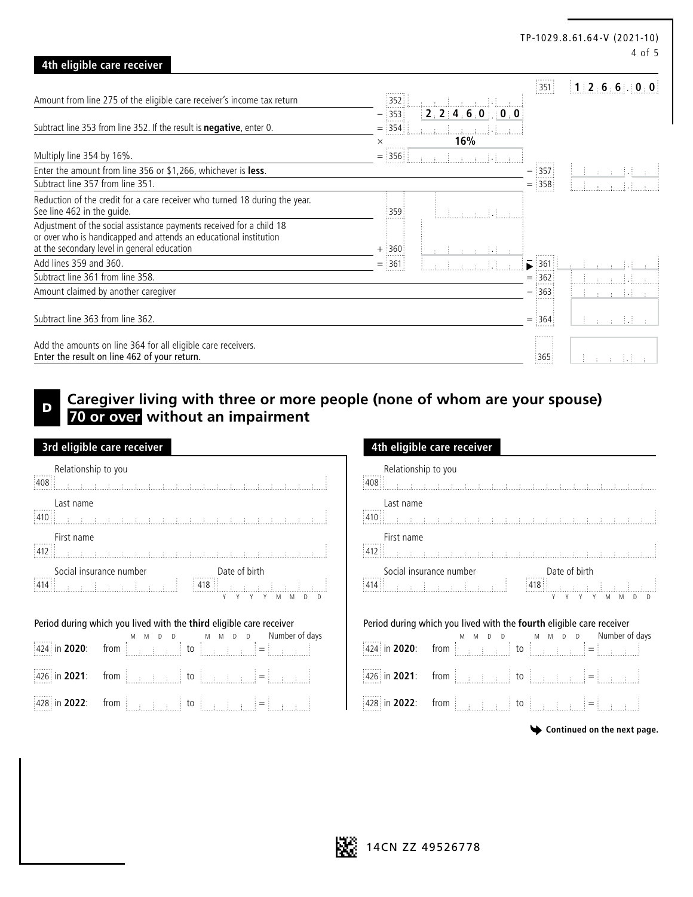|                                                                                                          |               |                                                                      |                           | TP-1029.8.61.64-V (2021-10)<br>4 of 5 |
|----------------------------------------------------------------------------------------------------------|---------------|----------------------------------------------------------------------|---------------------------|---------------------------------------|
| 4th eligible care receiver                                                                               |               |                                                                      |                           |                                       |
|                                                                                                          |               |                                                                      | $\frac{1}{2}$ 351         | 112.6660000                           |
| Amount from line 275 of the eligible care receiver's income tax return                                   | 352           |                                                                      |                           |                                       |
|                                                                                                          | $-$ 353       | $\begin{array}{ c c c c c c }\n\hline\n2,2&4,6,0&0&0&0\n\end{array}$ |                           |                                       |
| Subtract line 353 from line 352. If the result is <b>negative</b> , enter 0.                             | $=$ 354       | $\rightarrow$<br><u>mana Hara</u>                                    |                           |                                       |
|                                                                                                          | $\times$<br>. | 16%                                                                  |                           |                                       |
| Multiply line 354 by 16%.                                                                                | 356<br>$=$    | المساطحات المستحيل                                                   |                           |                                       |
| Enter the amount from line 356 or \$1,266, whichever is less.                                            |               |                                                                      | $-$ 357                   |                                       |
| Subtract line 357 from line 351.                                                                         |               |                                                                      | $=$ 358                   |                                       |
| Reduction of the credit for a care receiver who turned 18 during the year.<br>See line 462 in the quide. | :359          |                                                                      |                           |                                       |
| Adjustment of the social assistance payments received for a child 18                                     |               |                                                                      |                           |                                       |
| or over who is handicapped and attends an educational institution                                        |               |                                                                      |                           |                                       |
| at the secondary level in general education                                                              | $+$ 360       | an an Eilean                                                         |                           |                                       |
| Add lines 359 and 360.                                                                                   | $=$ 361       |                                                                      | $\blacktriangleright$ 361 |                                       |
| Subtract line 361 from line 358.                                                                         |               |                                                                      | $=$ 362                   |                                       |
| Amount claimed by another caregiver                                                                      |               |                                                                      | 363                       | 第二章 14                                |
|                                                                                                          |               |                                                                      |                           |                                       |
| Subtract line 363 from line 362.                                                                         |               |                                                                      | $=$ 364                   | na di<br>$\pm 1$                      |
| Add the amounts on line 364 for all eligible care receivers.                                             |               |                                                                      |                           |                                       |
| Enter the result on line 462 of your return.                                                             |               |                                                                      | 365                       | 99 F.E                                |

## **Caregiver living with three or more people (none of whom are your spouse) 70 or over without an impairment**

| 3rd eligible care receiver                                                                                                                                                                                                                                                                                                                                                                                 | 4th eligible care receiver                                                                                                                                                                                                                        |
|------------------------------------------------------------------------------------------------------------------------------------------------------------------------------------------------------------------------------------------------------------------------------------------------------------------------------------------------------------------------------------------------------------|---------------------------------------------------------------------------------------------------------------------------------------------------------------------------------------------------------------------------------------------------|
| Relationship to you<br>$\frac{1}{408}$<br>Last name                                                                                                                                                                                                                                                                                                                                                        | Relationship to you<br>Last name<br>410                                                                                                                                                                                                           |
| First name                                                                                                                                                                                                                                                                                                                                                                                                 | First name                                                                                                                                                                                                                                        |
| $\boxed{412} \begin{bmatrix} \rule{0pt}{13pt} \rule{0pt}{13pt} \rule{0pt}{13pt} \rule{0pt}{13pt} \rule{0pt}{13pt} \rule{0pt}{13pt} \rule{0pt}{13pt} \rule{0pt}{13pt} \rule{0pt}{13pt} \rule{0pt}{13pt} \rule{0pt}{13pt} \rule{0pt}{13pt} \rule{0pt}{13pt} \rule{0pt}{13pt} \rule{0pt}{13pt} \rule{0pt}{13pt} \rule{0pt}{13pt} \rule{0pt}{13pt} \rule{0pt}{13pt} \rule{0pt}{13pt} \rule{0pt}{1$             |                                                                                                                                                                                                                                                   |
|                                                                                                                                                                                                                                                                                                                                                                                                            | Social insurance number<br>2414   Capital Indian Proposed and Prince and Prince and Prince and Prince and Prince and Prince and Prince and Prince and Prince and Prince and Prince and Prince and Prince and Prince and Prince an                 |
| Period during which you lived with the third eligible care receiver                                                                                                                                                                                                                                                                                                                                        | Period during which you lived with the fourth eligible care                                                                                                                                                                                       |
| $\begin{bmatrix} 424 & \text{in } 2020: \end{bmatrix}$ from $\begin{bmatrix} 0 & \text{in } 10 & \text{in } 10 & \text{in } 10 & \text{in } 10 & \text{in } 10 & \text{in } 10 & \text{in } 10 & \text{in } 10 & \text{in } 10 & \text{in } 10 & \text{in } 10 & \text{in } 10 & \text{in } 10 & \text{in } 10 & \text{in } 10 & \text{in } 10 & \text{in } 10 & \text{in } 10 & \text{in } 10 & \text{in$ | $\begin{bmatrix} 1 & 1 & 1 & 1 \\ 4 & 2 & 1 & 1 \end{bmatrix}$ in 2020: from $\begin{bmatrix} 1 & 1 & 1 & 1 \\ 1 & 1 & 1 & 1 \\ 1 & 1 & 1 & 1 \end{bmatrix}$ to $\begin{bmatrix} 1 & 1 & 1 & 1 \\ 1 & 1 & 1 & 1 \\ 1 & 1 & 1 & 1 \end{bmatrix}$ = |
| 426 in 2021:                                                                                                                                                                                                                                                                                                                                                                                               | from $\begin{bmatrix} 1 & 1 & 1 \\ 1 & 1 & 1 \end{bmatrix}$ to $\begin{bmatrix} 1 & 1 & 1 \\ 1 & 1 & 1 \end{bmatrix}$                                                                                                                             |
| from $\begin{bmatrix} 1 & 1 & 1 \\ 1 & 1 & 1 \end{bmatrix}$ to $\begin{bmatrix} 1 & 1 & 1 \\ 1 & 1 & 1 \end{bmatrix}$ $\begin{bmatrix} 1 & 1 & 1 \\ 1 & 1 & 1 \end{bmatrix}$                                                                                                                                                                                                                               | 426 in 2021:                                                                                                                                                                                                                                      |
| from $\begin{bmatrix} 1 & 1 & 1 \\ 1 & 1 & 1 \\ 1 & 1 & 1 \end{bmatrix}$ to $\begin{bmatrix} 1 & 1 & 1 \\ 1 & 1 & 1 \\ 1 & 1 & 1 \end{bmatrix}$ = $\begin{bmatrix} 1 & 1 & 1 \\ 1 & 1 & 1 \\ 1 & 1 & 1 \end{bmatrix}$<br>428 in 2022:                                                                                                                                                                      | $ 428 $ in 2022: from $\begin{bmatrix} 1 & 1 & 1 \\ 1 & 1 & 1 \end{bmatrix}$ to $\begin{bmatrix} 1 & 1 & 1 \\ 1 & 1 & 1 \end{bmatrix}$ =                                                                                                          |

### **3rd eligible care receiver 4th eligible care receiver** Relationship to you اللسان السائسا السائسا المسائل ŧ First name <u> Mandalat Mandalat Mandal</u> Social insurance number Date of birth  $\mathcal{A}$ Y Y Y Y M M D D Y Y Y Y M M D D Period during which you lived with the **fourth** eligible care receiver M M D D M M D D Number of days in **2020**: from  $426$  in **2021**: from  $\begin{bmatrix} 1 & 0 & 0 \\ 0 & 1 & 0 \\ 0 & 0 & 0 \end{bmatrix}$  to  $\begin{bmatrix} 1 & 0 & 0 \\ 0 & 1 & 0 \\ 0 & 1 & 0 \end{bmatrix}$

**Continued on the next page.**